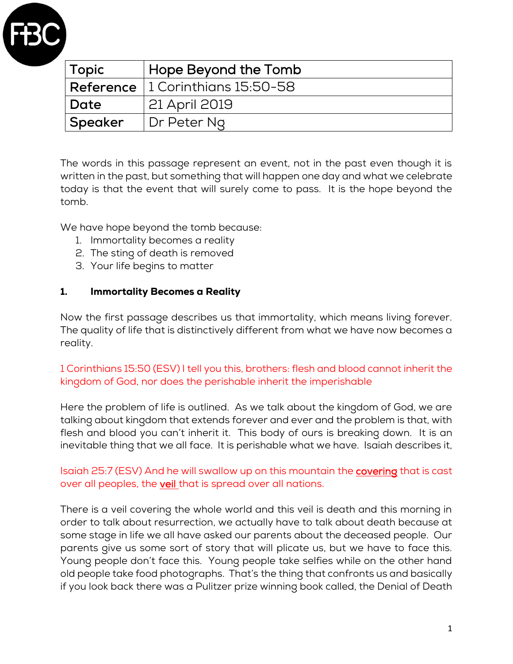

| Topic    | Hope Beyond the Tomb                                  |
|----------|-------------------------------------------------------|
|          | $\mid$ <b>Reference</b> $\mid$ 1 Corinthians 15:50-58 |
| Date     | 21 April 2019                                         |
| 'Speaker | Dr Peter Ng                                           |

The words in this passage represent an event, not in the past even though it is written in the past, but something that will happen one day and what we celebrate today is that the event that will surely come to pass. It is the hope beyond the tomb.

We have hope beyond the tomb because:

- 1. Immortality becomes a reality
- 2. The sting of death is removed
- 3. Your life begins to matter

#### 1. Immortality Becomes a Reality

Now the first passage describes us that immortality, which means living forever. The quality of life that is distinctively different from what we have now becomes a reality.

### 1 Corinthians 15:50 (ESV) I tell you this, brothers: flesh and blood cannot inherit the kingdom of God, nor does the perishable inherit the imperishable

Here the problem of life is outlined. As we talk about the kingdom of God, we are talking about kingdom that extends forever and ever and the problem is that, with flesh and blood you can't inherit it. This body of ours is breaking down. It is an inevitable thing that we all face. It is perishable what we have. Isaiah describes it,

### Isaiah 25:7 (ESV) And he will swallow up on this mountain the **covering** that is cast over all peoples, the veil that is spread over all nations.

There is a veil covering the whole world and this veil is death and this morning in order to talk about resurrection, we actually have to talk about death because at some stage in life we all have asked our parents about the deceased people. Our parents give us some sort of story that will plicate us, but we have to face this. Young people don't face this. Young people take selfies while on the other hand old people take food photographs. That's the thing that confronts us and basically if you look back there was a Pulitzer prize winning book called, the Denial of Death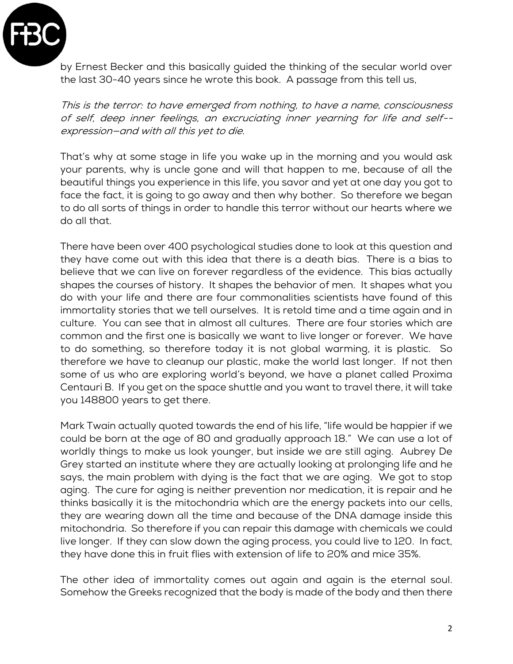

by Ernest Becker and this basically guided the thinking of the secular world over the last 30-40 years since he wrote this book. A passage from this tell us,

This is the terror: to have emerged from nothing, to have a name, consciousness of self, deep inner feelings, an excruciating inner yearning for life and self- expression—and with all this yet to die.

That's why at some stage in life you wake up in the morning and you would ask your parents, why is uncle gone and will that happen to me, because of all the beautiful things you experience in this life, you savor and yet at one day you got to face the fact, it is going to go away and then why bother. So therefore we began to do all sorts of things in order to handle this terror without our hearts where we do all that.

There have been over 400 psychological studies done to look at this question and they have come out with this idea that there is a death bias. There is a bias to believe that we can live on forever regardless of the evidence. This bias actually shapes the courses of history. It shapes the behavior of men. It shapes what you do with your life and there are four commonalities scientists have found of this immortality stories that we tell ourselves. It is retold time and a time again and in culture. You can see that in almost all cultures. There are four stories which are common and the first one is basically we want to live longer or forever. We have to do something, so therefore today it is not global warming, it is plastic. So therefore we have to cleanup our plastic, make the world last longer. If not then some of us who are exploring world's beyond, we have a planet called Proxima Centauri B. If you get on the space shuttle and you want to travel there, it will take you 148800 years to get there.

Mark Twain actually quoted towards the end of his life, "life would be happier if we could be born at the age of 80 and gradually approach 18." We can use a lot of worldly things to make us look younger, but inside we are still aging. Aubrey De Grey started an institute where they are actually looking at prolonging life and he says, the main problem with dying is the fact that we are aging. We got to stop aging. The cure for aging is neither prevention nor medication, it is repair and he thinks basically it is the mitochondria which are the energy packets into our cells, they are wearing down all the time and because of the DNA damage inside this mitochondria. So therefore if you can repair this damage with chemicals we could live longer. If they can slow down the aging process, you could live to 120. In fact, they have done this in fruit flies with extension of life to 20% and mice 35%.

The other idea of immortality comes out again and again is the eternal soul. Somehow the Greeks recognized that the body is made of the body and then there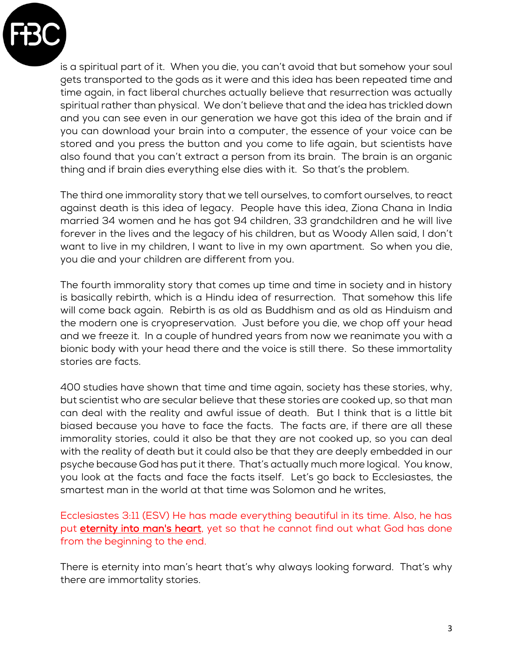

is a spiritual part of it. When you die, you can't avoid that but somehow your soul gets transported to the gods as it were and this idea has been repeated time and time again, in fact liberal churches actually believe that resurrection was actually spiritual rather than physical. We don't believe that and the idea has trickled down and you can see even in our generation we have got this idea of the brain and if you can download your brain into a computer, the essence of your voice can be stored and you press the button and you come to life again, but scientists have also found that you can't extract a person from its brain. The brain is an organic thing and if brain dies everything else dies with it. So that's the problem.

The third one immorality story that we tell ourselves, to comfort ourselves, to react against death is this idea of legacy. People have this idea, Ziona Chana in India married 34 women and he has got 94 children, 33 grandchildren and he will live forever in the lives and the legacy of his children, but as Woody Allen said, I don't want to live in my children, I want to live in my own apartment. So when you die, you die and your children are different from you.

The fourth immorality story that comes up time and time in society and in history is basically rebirth, which is a Hindu idea of resurrection. That somehow this life will come back again. Rebirth is as old as Buddhism and as old as Hinduism and the modern one is cryopreservation. Just before you die, we chop off your head and we freeze it. In a couple of hundred years from now we reanimate you with a bionic body with your head there and the voice is still there. So these immortality stories are facts.

400 studies have shown that time and time again, society has these stories, why, but scientist who are secular believe that these stories are cooked up, so that man can deal with the reality and awful issue of death. But I think that is a little bit biased because you have to face the facts. The facts are, if there are all these immorality stories, could it also be that they are not cooked up, so you can deal with the reality of death but it could also be that they are deeply embedded in our psyche because God has put it there. That's actually much more logical. You know, you look at the facts and face the facts itself. Let's go back to Ecclesiastes, the smartest man in the world at that time was Solomon and he writes,

Ecclesiastes 3:11 (ESV) He has made everything beautiful in its time. Also, he has put eternity into man's heart, yet so that he cannot find out what God has done from the beginning to the end.

There is eternity into man's heart that's why always looking forward. That's why there are immortality stories.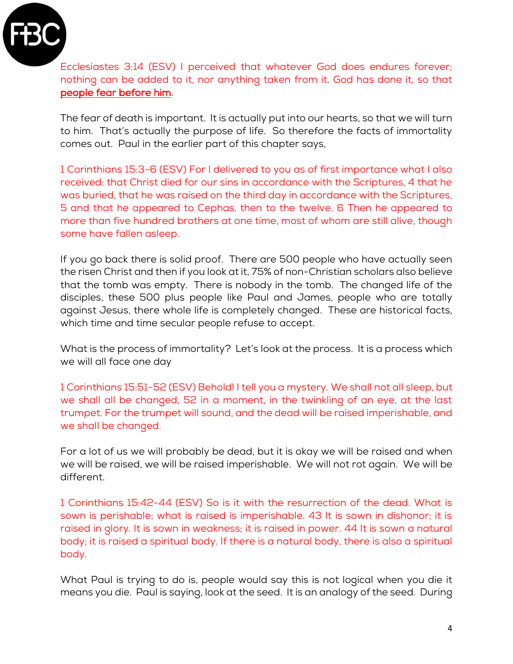

Ecclesiastes 3:14 (ESV) I perceived that whatever God does endures forever; nothing can be added to it, nor anything taken from it. God has done it, so that people fear before him.

The fear of death is important. It is actually put into our hearts, so that we will turn to him. That's actually the purpose of life. So therefore the facts of immortality comes out. Paul in the earlier part of this chapter says,

1 Corinthians 15:3-6 (ESV) For I delivered to you as of first importance what I also received: that Christ died for our sins in accordance with the Scriptures, 4 that he was buried, that he was raised on the third day in accordance with the Scriptures, 5 and that he appeared to Cephas, then to the twelve. 6 Then he appeared to more than five hundred brothers at one time, most of whom are still alive, though some have fallen asleep.

If you go back there is solid proof. There are 500 people who have actually seen the risen Christ and then if you look at it, 75% of non-Christian scholars also believe that the tomb was empty. There is nobody in the tomb. The changed life of the disciples, these 500 plus people like Paul and James, people who are totally against Jesus, there whole life is completely changed. These are historical facts, which time and time secular people refuse to accept.

What is the process of immortality? Let's look at the process. It is a process which we will all face one day

1 Corinthians 15:51-52 (ESV) Behold! I tell you a mystery. We shall not all sleep, but we shall all be changed, 52 in a moment, in the twinkling of an eye, at the last trumpet. For the trumpet will sound, and the dead will be raised imperishable, and we shall be changed.

For a lot of us we will probably be dead, but it is okay we will be raised and when we will be raised, we will be raised imperishable. We will not rot again. We will be different.

1 Corinthians 15:42-44 (ESV) So is it with the resurrection of the dead. What is sown is perishable; what is raised is imperishable. 43 It is sown in dishonor; it is raised in glory. It is sown in weakness; it is raised in power. 44 It is sown a natural body; it is raised a spiritual body. If there is a natural body, there is also a spiritual body.

What Paul is trying to do is, people would say this is not logical when you die it means you die. Paul is saying, look at the seed. It is an analogy of the seed. During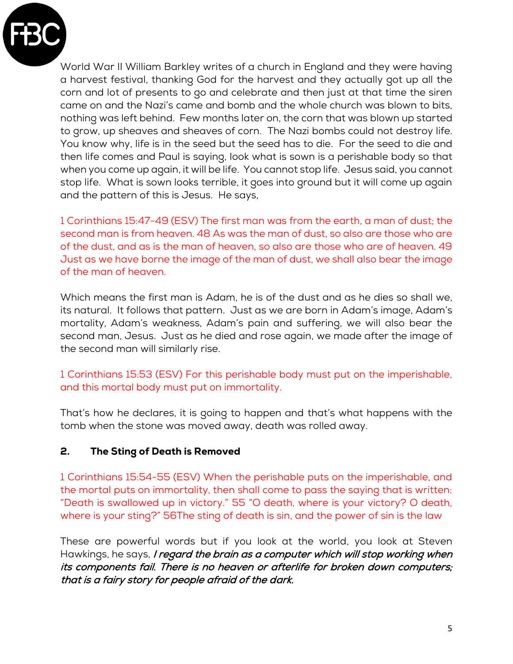

World War II William Barkley writes of a church in England and they were having a harvest festival, thanking God for the harvest and they actually got up all the corn and lot of presents to go and celebrate and then just at that time the siren came on and the Nazi's came and bomb and the whole church was blown to bits, nothing was left behind. Few months later on, the corn that was blown up started to grow, up sheaves and sheaves of corn. The Nazi bombs could not destroy life. You know why, life is in the seed but the seed has to die. For the seed to die and then life comes and Paul is saying, look what is sown is a perishable body so that when you come up again, it will be life. You cannot stop life. Jesus said, you cannot stop life. What is sown looks terrible, it goes into ground but it will come up again and the pattern of this is Jesus. He says,

1 Corinthians 15:47-49 (ESV) The first man was from the earth, a man of dust; the second man is from heaven. 48 As was the man of dust, so also are those who are of the dust, and as is the man of heaven, so also are those who are of heaven. 49 Just as we have borne the image of the man of dust, we shall also bear the image of the man of heaven.

Which means the first man is Adam, he is of the dust and as he dies so shall we, its natural. It follows that pattern. Just as we are born in Adam's image, Adam's mortality, Adam's weakness, Adam's pain and suffering, we will also bear the second man, Jesus. Just as he died and rose again, we made after the image of the second man will similarly rise.

1 Corinthians 15:53 (ESV) For this perishable body must put on the imperishable, and this mortal body must put on immortality.

That's how he declares, it is going to happen and that's what happens with the tomb when the stone was moved away, death was rolled away.

### 2. The Sting of Death is Removed

1 Corinthians 15:54-55 (ESV) When the perishable puts on the imperishable, and the mortal puts on immortality, then shall come to pass the saying that is written: "Death is swallowed up in victory." 55 "O death, where is your victory? O death, where is your sting?" 56The sting of death is sin, and the power of sin is the law

These are powerful words but if you look at the world, you look at Steven Hawkings, he says, I regard the brain as a computer which will stop working when its components fail. There is no heaven or afterlife for broken down computers; that is a fairy story for people afraid of the dark.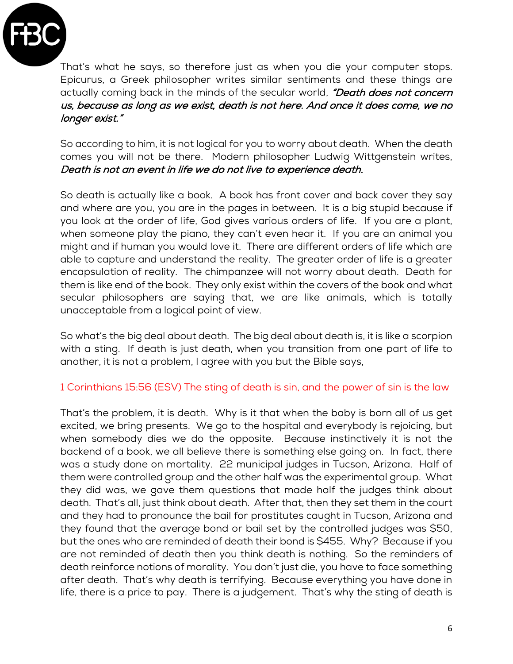

That's what he says, so therefore just as when you die your computer stops. Epicurus, a Greek philosopher writes similar sentiments and these things are actually coming back in the minds of the secular world, "Death does not concern us, because as long as we exist, death is not here. And once it does come, we no longer exist."

So according to him, it is not logical for you to worry about death. When the death comes you will not be there. Modern philosopher Ludwig Wittgenstein writes, Death is not an event in life we do not live to experience death.

So death is actually like a book. A book has front cover and back cover they say and where are you, you are in the pages in between. It is a big stupid because if you look at the order of life, God gives various orders of life. If you are a plant, when someone play the piano, they can't even hear it. If you are an animal you might and if human you would love it. There are different orders of life which are able to capture and understand the reality. The greater order of life is a greater encapsulation of reality. The chimpanzee will not worry about death. Death for them is like end of the book. They only exist within the covers of the book and what secular philosophers are saying that, we are like animals, which is totally unacceptable from a logical point of view.

So what's the big deal about death. The big deal about death is, it is like a scorpion with a sting. If death is just death, when you transition from one part of life to another, it is not a problem, I agree with you but the Bible says,

### 1 Corinthians 15:56 (ESV) The sting of death is sin, and the power of sin is the law

That's the problem, it is death. Why is it that when the baby is born all of us get excited, we bring presents. We go to the hospital and everybody is rejoicing, but when somebody dies we do the opposite. Because instinctively it is not the backend of a book, we all believe there is something else going on. In fact, there was a study done on mortality. 22 municipal judges in Tucson, Arizona. Half of them were controlled group and the other half was the experimental group. What they did was, we gave them questions that made half the judges think about death. That's all, just think about death. After that, then they set them in the court and they had to pronounce the bail for prostitutes caught in Tucson, Arizona and they found that the average bond or bail set by the controlled judges was \$50, but the ones who are reminded of death their bond is \$455. Why? Because if you are not reminded of death then you think death is nothing. So the reminders of death reinforce notions of morality. You don't just die, you have to face something after death. That's why death is terrifying. Because everything you have done in life, there is a price to pay. There is a judgement. That's why the sting of death is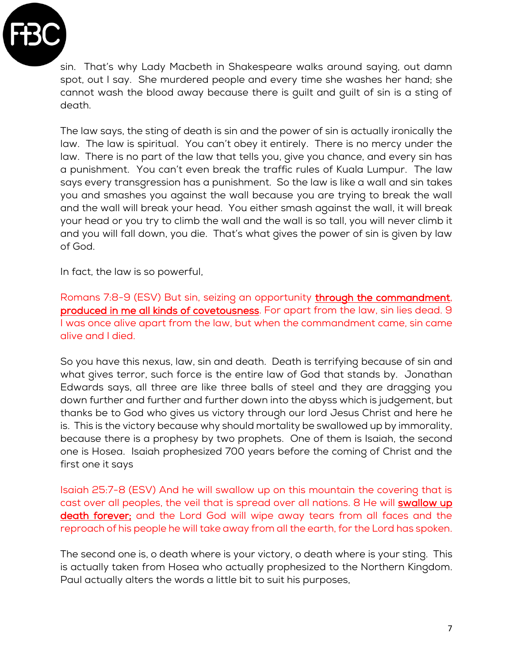

sin. That's why Lady Macbeth in Shakespeare walks around saying, out damn spot, out I say. She murdered people and every time she washes her hand; she cannot wash the blood away because there is guilt and guilt of sin is a sting of death.

The law says, the sting of death is sin and the power of sin is actually ironically the law. The law is spiritual. You can't obey it entirely. There is no mercy under the law. There is no part of the law that tells you, give you chance, and every sin has a punishment. You can't even break the traffic rules of Kuala Lumpur. The law says every transgression has a punishment. So the law is like a wall and sin takes you and smashes you against the wall because you are trying to break the wall and the wall will break your head. You either smash against the wall, it will break your head or you try to climb the wall and the wall is so tall, you will never climb it and you will fall down, you die. That's what gives the power of sin is given by law of God.

In fact, the law is so powerful,

Romans 7:8-9 (ESV) But sin, seizing an opportunity through the commandment, produced in me all kinds of covetousness. For apart from the law, sin lies dead. 9 I was once alive apart from the law, but when the commandment came, sin came alive and I died.

So you have this nexus, law, sin and death. Death is terrifying because of sin and what gives terror, such force is the entire law of God that stands by. Jonathan Edwards says, all three are like three balls of steel and they are dragging you down further and further and further down into the abyss which is judgement, but thanks be to God who gives us victory through our lord Jesus Christ and here he is. This is the victory because why should mortality be swallowed up by immorality, because there is a prophesy by two prophets. One of them is Isaiah, the second one is Hosea. Isaiah prophesized 700 years before the coming of Christ and the first one it says

Isaiah 25:7-8 (ESV) And he will swallow up on this mountain the covering that is cast over all peoples, the veil that is spread over all nations. 8 He will swallow up death forever; and the Lord God will wipe away tears from all faces and the reproach of his people he will take away from all the earth, for the Lord has spoken.

The second one is, o death where is your victory, o death where is your sting. This is actually taken from Hosea who actually prophesized to the Northern Kingdom. Paul actually alters the words a little bit to suit his purposes,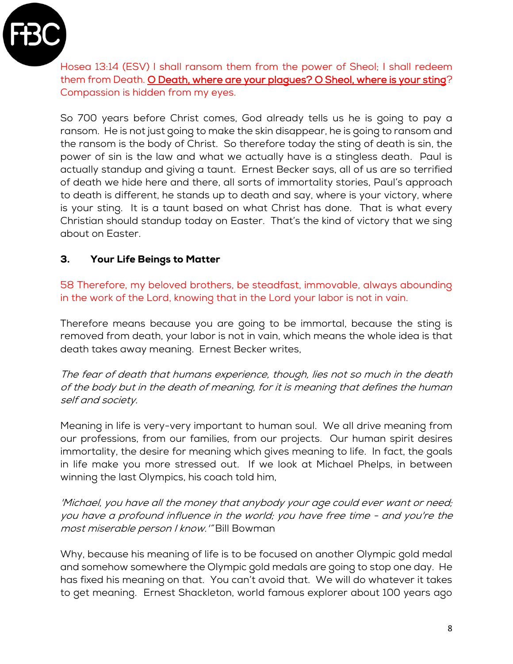

Hosea 13:14 (ESV) I shall ransom them from the power of Sheol; I shall redeem them from Death. O Death, where are your plagues? O Sheol, where is your sting? Compassion is hidden from my eyes.

So 700 years before Christ comes, God already tells us he is going to pay a ransom. He is not just going to make the skin disappear, he is going to ransom and the ransom is the body of Christ. So therefore today the sting of death is sin, the power of sin is the law and what we actually have is a stingless death. Paul is actually standup and giving a taunt. Ernest Becker says, all of us are so terrified of death we hide here and there, all sorts of immortality stories, Paul's approach to death is different, he stands up to death and say, where is your victory, where is your sting. It is a taunt based on what Christ has done. That is what every Christian should standup today on Easter. That's the kind of victory that we sing about on Easter.

# 3. Your Life Beings to Matter

58 Therefore, my beloved brothers, be steadfast, immovable, always abounding in the work of the Lord, knowing that in the Lord your labor is not in vain.

Therefore means because you are going to be immortal, because the sting is removed from death, your labor is not in vain, which means the whole idea is that death takes away meaning. Ernest Becker writes,

The fear of death that humans experience, though, lies not so much in the death of the body but in the death of meaning, for it is meaning that defines the human self and society.

Meaning in life is very-very important to human soul. We all drive meaning from our professions, from our families, from our projects. Our human spirit desires immortality, the desire for meaning which gives meaning to life. In fact, the goals in life make you more stressed out. If we look at Michael Phelps, in between winning the last Olympics, his coach told him,

'Michael, you have all the money that anybody your age could ever want or need; you have a profound influence in the world; you have free time - and you're the most miserable person I know.'" Bill Bowman

Why, because his meaning of life is to be focused on another Olympic gold medal and somehow somewhere the Olympic gold medals are going to stop one day. He has fixed his meaning on that. You can't avoid that. We will do whatever it takes to get meaning. Ernest Shackleton, world famous explorer about 100 years ago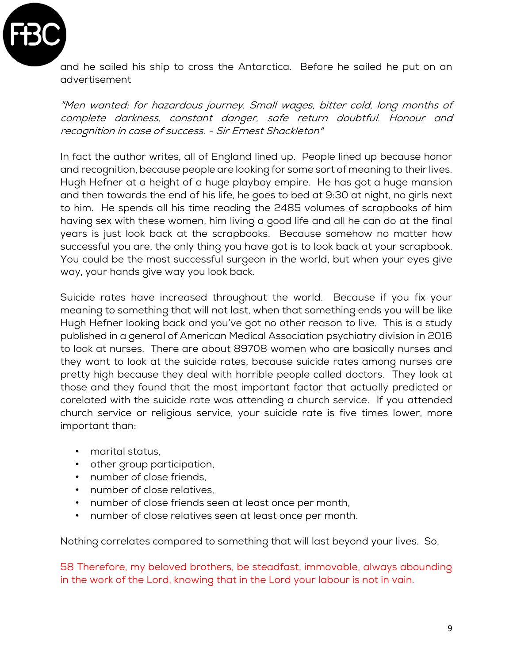

and he sailed his ship to cross the Antarctica. Before he sailed he put on an advertisement

"Men wanted: for hazardous journey. Small wages, bitter cold, long months of complete darkness, constant danger, safe return doubtful. Honour and recognition in case of success. - Sir Ernest Shackleton"

In fact the author writes, all of England lined up. People lined up because honor and recognition, because people are looking for some sort of meaning to their lives. Hugh Hefner at a height of a huge playboy empire. He has got a huge mansion and then towards the end of his life, he goes to bed at 9:30 at night, no girls next to him. He spends all his time reading the 2485 volumes of scrapbooks of him having sex with these women, him living a good life and all he can do at the final years is just look back at the scrapbooks. Because somehow no matter how successful you are, the only thing you have got is to look back at your scrapbook. You could be the most successful surgeon in the world, but when your eyes give way, your hands give way you look back.

Suicide rates have increased throughout the world. Because if you fix your meaning to something that will not last, when that something ends you will be like Hugh Hefner looking back and you've got no other reason to live. This is a study published in a general of American Medical Association psychiatry division in 2016 to look at nurses. There are about 89708 women who are basically nurses and they want to look at the suicide rates, because suicide rates among nurses are pretty high because they deal with horrible people called doctors. They look at those and they found that the most important factor that actually predicted or corelated with the suicide rate was attending a church service. If you attended church service or religious service, your suicide rate is five times lower, more important than:

- marital status,
- other group participation,
- number of close friends,
- number of close relatives,
- number of close friends seen at least once per month,
- number of close relatives seen at least once per month.

Nothing correlates compared to something that will last beyond your lives. So,

58 Therefore, my beloved brothers, be steadfast, immovable, always abounding in the work of the Lord, knowing that in the Lord your labour is not in vain.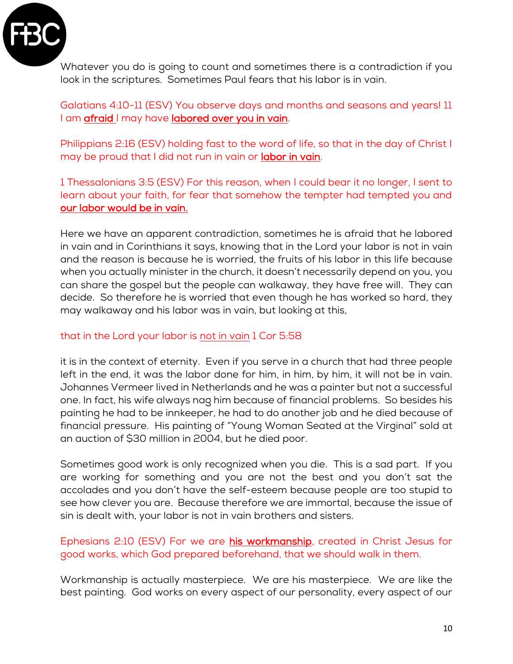

Whatever you do is going to count and sometimes there is a contradiction if you look in the scriptures. Sometimes Paul fears that his labor is in vain.

Galatians 4:10-11 (ESV) You observe days and months and seasons and years! 11 I am afraid I may have labored over you in vain.

Philippians 2:16 (ESV) holding fast to the word of life, so that in the day of Christ I may be proud that I did not run in vain or labor in vain.

1 Thessalonians 3:5 (ESV) For this reason, when I could bear it no longer, I sent to learn about your faith, for fear that somehow the tempter had tempted you and our labor would be in vain.

Here we have an apparent contradiction, sometimes he is afraid that he labored in vain and in Corinthians it says, knowing that in the Lord your labor is not in vain and the reason is because he is worried, the fruits of his labor in this life because when you actually minister in the church, it doesn't necessarily depend on you, you can share the gospel but the people can walkaway, they have free will. They can decide. So therefore he is worried that even though he has worked so hard, they may walkaway and his labor was in vain, but looking at this,

# that in the Lord your labor is not in vain 1 Cor 5:58

it is in the context of eternity. Even if you serve in a church that had three people left in the end, it was the labor done for him, in him, by him, it will not be in vain. Johannes Vermeer lived in Netherlands and he was a painter but not a successful one. In fact, his wife always nag him because of financial problems. So besides his painting he had to be innkeeper, he had to do another job and he died because of financial pressure. His painting of "Young Woman Seated at the Virginal" sold at an auction of \$30 million in 2004, but he died poor.

Sometimes good work is only recognized when you die. This is a sad part. If you are working for something and you are not the best and you don't sat the accolades and you don't have the self-esteem because people are too stupid to see how clever you are. Because therefore we are immortal, because the issue of sin is dealt with, your labor is not in vain brothers and sisters.

### Ephesians 2:10 (ESV) For we are his workmanship, created in Christ Jesus for good works, which God prepared beforehand, that we should walk in them.

Workmanship is actually masterpiece. We are his masterpiece. We are like the best painting. God works on every aspect of our personality, every aspect of our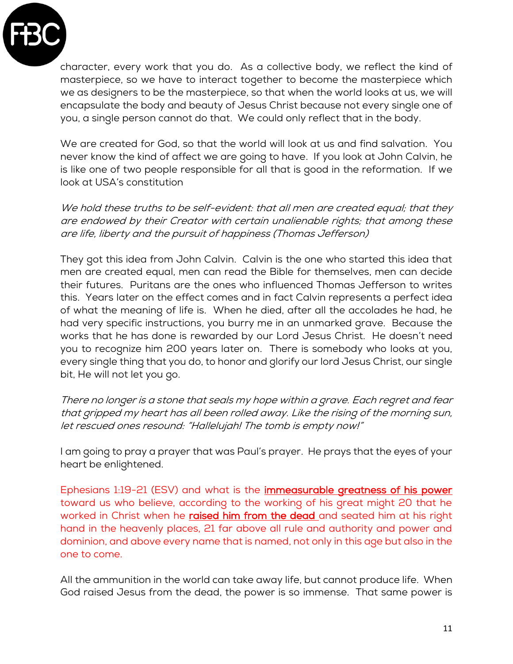

character, every work that you do. As a collective body, we reflect the kind of masterpiece, so we have to interact together to become the masterpiece which we as designers to be the masterpiece, so that when the world looks at us, we will encapsulate the body and beauty of Jesus Christ because not every single one of you, a single person cannot do that. We could only reflect that in the body.

We are created for God, so that the world will look at us and find salvation. You never know the kind of affect we are going to have. If you look at John Calvin, he is like one of two people responsible for all that is good in the reformation. If we look at USA's constitution

We hold these truths to be self-evident: that all men are created equal; that they are endowed by their Creator with certain unalienable rights; that among these are life, liberty and the pursuit of happiness (Thomas Jefferson)

They got this idea from John Calvin. Calvin is the one who started this idea that men are created equal, men can read the Bible for themselves, men can decide their futures. Puritans are the ones who influenced Thomas Jefferson to writes this. Years later on the effect comes and in fact Calvin represents a perfect idea of what the meaning of life is. When he died, after all the accolades he had, he had very specific instructions, you burry me in an unmarked grave. Because the works that he has done is rewarded by our Lord Jesus Christ. He doesn't need you to recognize him 200 years later on. There is somebody who looks at you, every single thing that you do, to honor and glorify our lord Jesus Christ, our single bit, He will not let you go.

There no longer is a stone that seals my hope within a grave. Each regret and fear that gripped my heart has all been rolled away. Like the rising of the morning sun, let rescued ones resound: "Hallelujah! The tomb is empty now!"

I am going to pray a prayer that was Paul's prayer. He prays that the eyes of your heart be enlightened.

Ephesians 1:19-21 (ESV) and what is the immeasurable greatness of his power toward us who believe, according to the working of his great might 20 that he worked in Christ when he raised him from the dead and seated him at his right hand in the heavenly places, 21 far above all rule and authority and power and dominion, and above every name that is named, not only in this age but also in the one to come.

All the ammunition in the world can take away life, but cannot produce life. When God raised Jesus from the dead, the power is so immense. That same power is